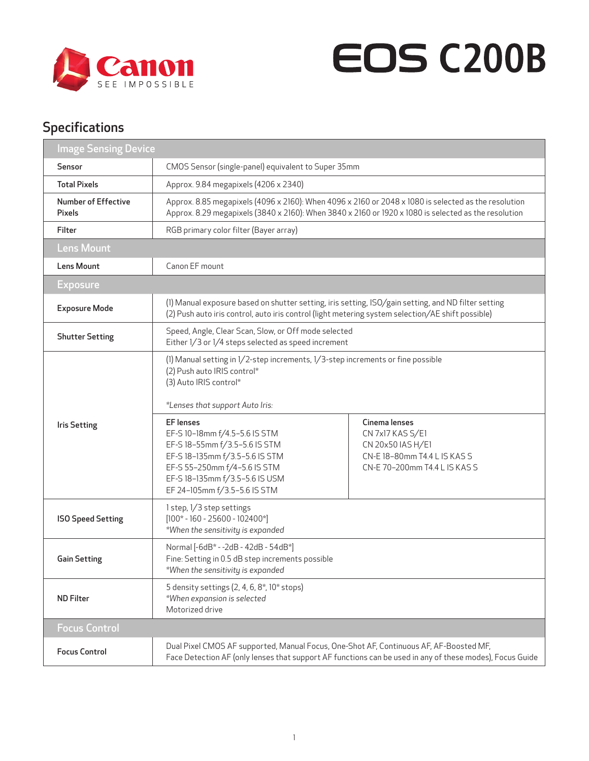

## **EOS C200B**

## Specifications

| <b>Image Sensing Device</b>          |                                                                                                                                                                                                                                                                                                                                                                                                     |                                                                                                                         |  |  |
|--------------------------------------|-----------------------------------------------------------------------------------------------------------------------------------------------------------------------------------------------------------------------------------------------------------------------------------------------------------------------------------------------------------------------------------------------------|-------------------------------------------------------------------------------------------------------------------------|--|--|
| Sensor                               | CMOS Sensor (single-panel) equivalent to Super 35mm                                                                                                                                                                                                                                                                                                                                                 |                                                                                                                         |  |  |
| <b>Total Pixels</b>                  | Approx. 9.84 megapixels (4206 x 2340)                                                                                                                                                                                                                                                                                                                                                               |                                                                                                                         |  |  |
| <b>Number of Effective</b><br>Pixels | Approx. 8.85 megapixels (4096 x 2160): When 4096 x 2160 or 2048 x 1080 is selected as the resolution<br>Approx. 8.29 megapixels (3840 x 2160): When 3840 x 2160 or 1920 x 1080 is selected as the resolution                                                                                                                                                                                        |                                                                                                                         |  |  |
| Filter                               | RGB primary color filter (Bayer array)                                                                                                                                                                                                                                                                                                                                                              |                                                                                                                         |  |  |
| <b>Lens Mount</b>                    |                                                                                                                                                                                                                                                                                                                                                                                                     |                                                                                                                         |  |  |
| <b>Lens Mount</b>                    | Canon EF mount                                                                                                                                                                                                                                                                                                                                                                                      |                                                                                                                         |  |  |
| <b>Exposure</b>                      |                                                                                                                                                                                                                                                                                                                                                                                                     |                                                                                                                         |  |  |
| <b>Exposure Mode</b>                 | (1) Manual exposure based on shutter setting, iris setting, ISO/gain setting, and ND filter setting<br>(2) Push auto iris control, auto iris control (light metering system selection/AE shift possible)                                                                                                                                                                                            |                                                                                                                         |  |  |
| <b>Shutter Setting</b>               | Speed, Angle, Clear Scan, Slow, or Off mode selected<br>Either 1/3 or 1/4 steps selected as speed increment                                                                                                                                                                                                                                                                                         |                                                                                                                         |  |  |
| <b>Iris Setting</b>                  | (1) Manual setting in 1/2-step increments, 1/3-step increments or fine possible<br>(2) Push auto IRIS control*<br>(3) Auto IRIS control*<br>*Lenses that support Auto Iris:<br><b>EF</b> lenses<br>EF-S 10-18mm f/4.5-5.6 IS STM<br>EF-S18-55mm f/3.5-5.6 IS STM<br>EF-S18-135mm f/3.5-5.6 IS STM<br>EF-S 55-250mm f/4-5.6 IS STM<br>EF-S 18-135mm f/3.5-5.6 IS USM<br>EF 24-105mm f/3.5-5.6 IS STM | Cinema lenses<br>CN 7x17 KAS S/E1<br>CN 20x50 IAS H/E1<br>CN-E 18-80mm T4.4 L IS KAS S<br>CN-E 70-200mm T4.4 L IS KAS S |  |  |
| <b>ISO Speed Setting</b>             | 1 step, 1/3 step settings<br>$[100* - 160 - 25600 - 102400*]$<br>*When the sensitivity is expanded                                                                                                                                                                                                                                                                                                  |                                                                                                                         |  |  |
| <b>Gain Setting</b>                  | Normal [-6dB* - -2dB - 42dB - 54dB*]<br>Fine: Setting in 0.5 dB step increments possible<br>*When the sensitivity is expanded                                                                                                                                                                                                                                                                       |                                                                                                                         |  |  |
| <b>ND Filter</b>                     | 5 density settings (2, 4, 6, 8*, 10* stops)<br>*When expansion is selected<br>Motorized drive                                                                                                                                                                                                                                                                                                       |                                                                                                                         |  |  |
| <b>Focus Control</b>                 |                                                                                                                                                                                                                                                                                                                                                                                                     |                                                                                                                         |  |  |
| <b>Focus Control</b>                 | Dual Pixel CMOS AF supported, Manual Focus, One-Shot AF, Continuous AF, AF-Boosted MF,                                                                                                                                                                                                                                                                                                              | Face Detection AF (only lenses that support AF functions can be used in any of these modes), Focus Guide                |  |  |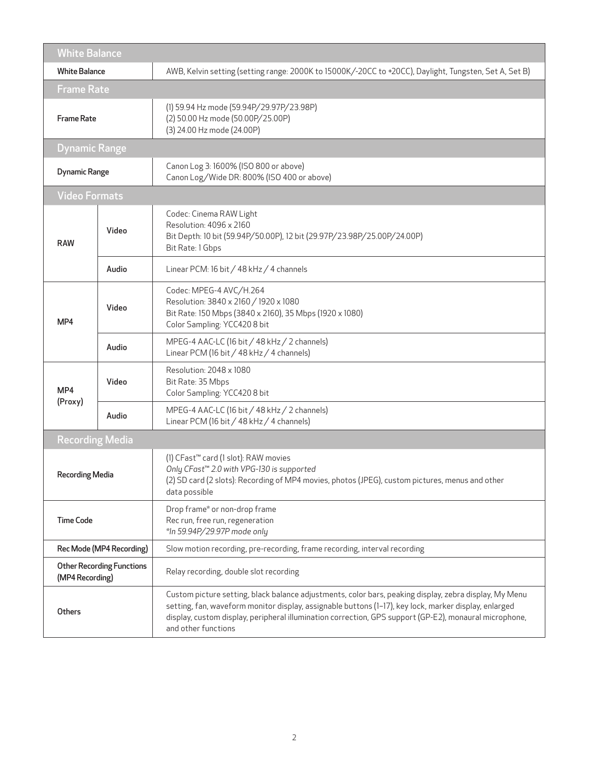| <b>White Balance</b>                                |                                                                                                                                |                                                                                                                                                                                                                                                                                                                                                  |  |  |
|-----------------------------------------------------|--------------------------------------------------------------------------------------------------------------------------------|--------------------------------------------------------------------------------------------------------------------------------------------------------------------------------------------------------------------------------------------------------------------------------------------------------------------------------------------------|--|--|
|                                                     | AWB, Kelvin setting (setting range: 2000K to 15000K/-20CC to +20CC), Daylight, Tungsten, Set A, Set B)<br><b>White Balance</b> |                                                                                                                                                                                                                                                                                                                                                  |  |  |
| <b>Frame Rate</b>                                   |                                                                                                                                |                                                                                                                                                                                                                                                                                                                                                  |  |  |
| <b>Frame Rate</b>                                   |                                                                                                                                | (1) 59.94 Hz mode (59.94P/29.97P/23.98P)<br>(2) 50.00 Hz mode (50.00P/25.00P)<br>(3) 24.00 Hz mode (24.00P)                                                                                                                                                                                                                                      |  |  |
| <b>Dynamic Range</b>                                |                                                                                                                                |                                                                                                                                                                                                                                                                                                                                                  |  |  |
| <b>Dynamic Range</b>                                |                                                                                                                                | Canon Log 3: 1600% (ISO 800 or above)<br>Canon Log/Wide DR: 800% (ISO 400 or above)                                                                                                                                                                                                                                                              |  |  |
| <b>Video Formats</b>                                |                                                                                                                                |                                                                                                                                                                                                                                                                                                                                                  |  |  |
| <b>RAW</b>                                          | Video                                                                                                                          | Codec: Cinema RAW Light<br>Resolution: 4096 x 2160<br>Bit Depth: 10 bit (59.94P/50.00P), 12 bit (29.97P/23.98P/25.00P/24.00P)<br>Bit Rate: 1 Gbps                                                                                                                                                                                                |  |  |
|                                                     | Audio                                                                                                                          | Linear PCM: 16 bit / 48 kHz / 4 channels                                                                                                                                                                                                                                                                                                         |  |  |
| MP4                                                 | Video                                                                                                                          | Codec: MPEG-4 AVC/H.264<br>Resolution: 3840 x 2160 / 1920 x 1080<br>Bit Rate: 150 Mbps (3840 x 2160), 35 Mbps (1920 x 1080)<br>Color Sampling: YCC420 8 bit                                                                                                                                                                                      |  |  |
|                                                     | Audio                                                                                                                          | MPEG-4 AAC-LC (16 bit / 48 kHz / 2 channels)<br>Linear PCM (16 bit / 48 kHz / 4 channels)                                                                                                                                                                                                                                                        |  |  |
| MP4<br>(Proxy)                                      | Video                                                                                                                          | Resolution: 2048 x 1080<br>Bit Rate: 35 Mbps<br>Color Sampling: YCC420 8 bit                                                                                                                                                                                                                                                                     |  |  |
|                                                     | Audio                                                                                                                          | MPEG-4 AAC-LC (16 bit / 48 kHz / 2 channels)<br>Linear PCM (16 bit / 48 kHz / 4 channels)                                                                                                                                                                                                                                                        |  |  |
| <b>Recording Media</b>                              |                                                                                                                                |                                                                                                                                                                                                                                                                                                                                                  |  |  |
| <b>Recording Media</b>                              |                                                                                                                                | (1) CFast <sup>™</sup> card (1 slot): RAW movies<br>Only CFast™ 2.0 with VPG-130 is supported<br>(2) SD card (2 slots): Recording of MP4 movies, photos (JPEG), custom pictures, menus and other<br>data possible                                                                                                                                |  |  |
| <b>Time Code</b>                                    |                                                                                                                                | Drop frame* or non-drop frame<br>Rec run, free run, regeneration<br>*In 59.94P/29.97P mode only                                                                                                                                                                                                                                                  |  |  |
| Rec Mode (MP4 Recording)                            |                                                                                                                                | Slow motion recording, pre-recording, frame recording, interval recording                                                                                                                                                                                                                                                                        |  |  |
| <b>Other Recording Functions</b><br>(MP4 Recording) |                                                                                                                                | Relay recording, double slot recording                                                                                                                                                                                                                                                                                                           |  |  |
| Others                                              |                                                                                                                                | Custom picture setting, black balance adjustments, color bars, peaking display, zebra display, My Menu<br>setting, fan, waveform monitor display, assignable buttons (1-17), key lock, marker display, enlarged<br>display, custom display, peripheral illumination correction, GPS support (GP-E2), monaural microphone,<br>and other functions |  |  |